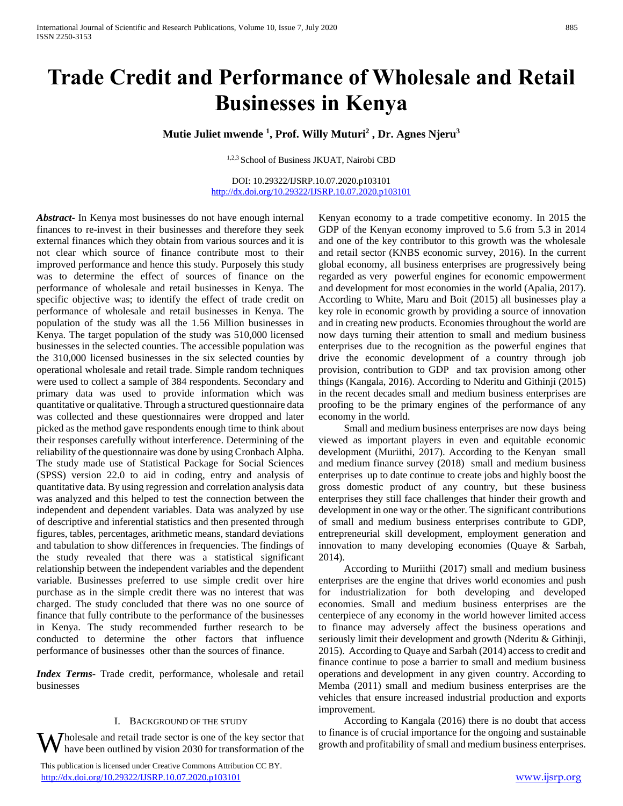# **Trade Credit and Performance of Wholesale and Retail Businesses in Kenya**

# **Mutie Juliet mwende <sup>1</sup> , Prof. Willy Muturi<sup>2</sup> , Dr. Agnes Njeru<sup>3</sup>**

1,2,3 School of Business JKUAT, Nairobi CBD

DOI: 10.29322/IJSRP.10.07.2020.p103101 <http://dx.doi.org/10.29322/IJSRP.10.07.2020.p103101>

*Abstract***-** In Kenya most businesses do not have enough internal finances to re-invest in their businesses and therefore they seek external finances which they obtain from various sources and it is not clear which source of finance contribute most to their improved performance and hence this study. Purposely this study was to determine the effect of sources of finance on the performance of wholesale and retail businesses in Kenya. The specific objective was; to identify the effect of trade credit on performance of wholesale and retail businesses in Kenya. The population of the study was all the 1.56 Million businesses in Kenya. The target population of the study was 510,000 licensed businesses in the selected counties. The accessible population was the 310,000 licensed businesses in the six selected counties by operational wholesale and retail trade. Simple random techniques were used to collect a sample of 384 respondents. Secondary and primary data was used to provide information which was quantitative or qualitative. Through a structured questionnaire data was collected and these questionnaires were dropped and later picked as the method gave respondents enough time to think about their responses carefully without interference. Determining of the reliability of the questionnaire was done by using Cronbach Alpha. The study made use of Statistical Package for Social Sciences (SPSS) version 22.0 to aid in coding, entry and analysis of quantitative data. By using regression and correlation analysis data was analyzed and this helped to test the connection between the independent and dependent variables. Data was analyzed by use of descriptive and inferential statistics and then presented through figures, tables, percentages, arithmetic means, standard deviations and tabulation to show differences in frequencies. The findings of the study revealed that there was a statistical significant relationship between the independent variables and the dependent variable. Businesses preferred to use simple credit over hire purchase as in the simple credit there was no interest that was charged. The study concluded that there was no one source of finance that fully contribute to the performance of the businesses in Kenya. The study recommended further research to be conducted to determine the other factors that influence performance of businesses other than the sources of finance.

*Index Terms*- Trade credit, performance, wholesale and retail businesses

# I. BACKGROUND OF THE STUDY

holesale and retail trade sector is one of the key sector that have been outlined by vision 2030 for transformation of the

 This publication is licensed under Creative Commons Attribution CC BY. <http://dx.doi.org/10.29322/IJSRP.10.07.2020.p103101> [www.ijsrp.org](http://ijsrp.org/)

Kenyan economy to a trade competitive economy. In 2015 the GDP of the Kenyan economy improved to 5.6 from 5.3 in 2014 and one of the key contributor to this growth was the wholesale and retail sector (KNBS economic survey, 2016). In the current global economy, all business enterprises are progressively being regarded as very powerful engines for economic empowerment and development for most economies in the world (Apalia, 2017). According to White, Maru and Boit (2015) all businesses play a key role in economic growth by providing a source of innovation and in creating new products. Economies throughout the world are now days turning their attention to small and medium business enterprises due to the recognition as the powerful engines that drive the economic development of a country through job provision, contribution to GDP and tax provision among other things (Kangala, 2016). According to Nderitu and Githinji (2015) in the recent decades small and medium business enterprises are proofing to be the primary engines of the performance of any economy in the world.

 Small and medium business enterprises are now days being viewed as important players in even and equitable economic development (Muriithi, 2017). According to the Kenyan small and medium finance survey (2018) small and medium business enterprises up to date continue to create jobs and highly boost the gross domestic product of any country, but these business enterprises they still face challenges that hinder their growth and development in one way or the other. The significant contributions of small and medium business enterprises contribute to GDP, entrepreneurial skill development, employment generation and innovation to many developing economies (Quaye & Sarbah, 2014).

 According to Muriithi (2017) small and medium business enterprises are the engine that drives world economies and push for industrialization for both developing and developed economies. Small and medium business enterprises are the centerpiece of any economy in the world however limited access to finance may adversely affect the business operations and seriously limit their development and growth (Nderitu & Githinji, 2015). According to Quaye and Sarbah (2014) access to credit and finance continue to pose a barrier to small and medium business operations and development in any given country. According to Memba (2011) small and medium business enterprises are the vehicles that ensure increased industrial production and exports improvement.

 According to Kangala (2016) there is no doubt that access to finance is of crucial importance for the ongoing and sustainable growth and profitability of small and medium business enterprises.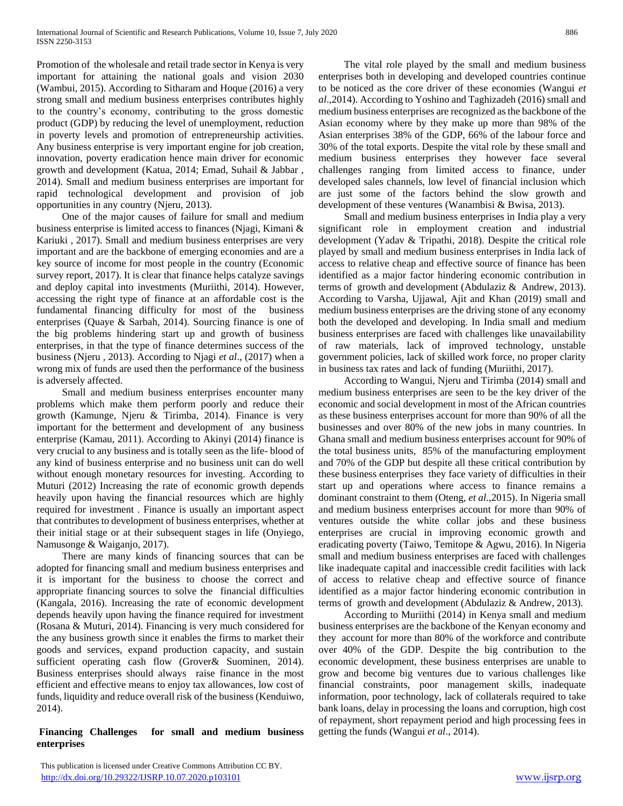Promotion of the wholesale and retail trade sector in Kenya is very important for attaining the national goals and vision 2030 (Wambui, 2015). According to Sitharam and Hoque (2016) a very strong small and medium business enterprises contributes highly to the country's economy, contributing to the gross domestic product (GDP) by reducing the level of unemployment, reduction in poverty levels and promotion of entrepreneurship activities. Any business enterprise is very important engine for job creation, innovation, poverty eradication hence main driver for economic growth and development (Katua, 2014; Emad, Suhail & Jabbar , 2014). Small and medium business enterprises are important for rapid technological development and provision of job opportunities in any country (Njeru, 2013).

 One of the major causes of failure for small and medium business enterprise is limited access to finances (Njagi, Kimani & Kariuki , 2017). Small and medium business enterprises are very important and are the backbone of emerging economies and are a key source of income for most people in the country (Economic survey report, 2017). It is clear that finance helps catalyze savings and deploy capital into investments (Muriithi, 2014). However, accessing the right type of finance at an affordable cost is the fundamental financing difficulty for most of the business enterprises (Quaye & Sarbah, 2014). Sourcing finance is one of the big problems hindering start up and growth of business enterprises, in that the type of finance determines success of the business (Njeru , 2013). According to Njagi *et al*., (2017) when a wrong mix of funds are used then the performance of the business is adversely affected.

 Small and medium business enterprises encounter many problems which make them perform poorly and reduce their growth (Kamunge, Njeru & Tirimba, 2014). Finance is very important for the betterment and development of any business enterprise (Kamau, 2011). According to Akinyi (2014) finance is very crucial to any business and is totally seen as the life- blood of any kind of business enterprise and no business unit can do well without enough monetary resources for investing. According to Muturi (2012) Increasing the rate of economic growth depends heavily upon having the financial resources which are highly required for investment . Finance is usually an important aspect that contributes to development of business enterprises, whether at their initial stage or at their subsequent stages in life (Onyiego, Namusonge & Waiganjo, 2017).

 There are many kinds of financing sources that can be adopted for financing small and medium business enterprises and it is important for the business to choose the correct and appropriate financing sources to solve the financial difficulties (Kangala, 2016). Increasing the rate of economic development depends heavily upon having the finance required for investment (Rosana & Muturi, 2014). Financing is very much considered for the any business growth since it enables the firms to market their goods and services, expand production capacity, and sustain sufficient operating cash flow (Grover& Suominen, 2014). Business enterprises should always raise finance in the most efficient and effective means to enjoy tax allowances, low cost of funds, liquidity and reduce overall risk of the business (Kenduiwo, 2014).

# **Financing Challenges for small and medium business enterprises**

 The vital role played by the small and medium business enterprises both in developing and developed countries continue to be noticed as the core driver of these economies (Wangui *et al*.,2014). According to Yoshino and Taghizadeh (2016) small and medium business enterprises are recognized as the backbone of the Asian economy where by they make up more than 98% of the Asian enterprises 38% of the GDP, 66% of the labour force and 30% of the total exports. Despite the vital role by these small and medium business enterprises they however face several challenges ranging from limited access to finance, under developed sales channels, low level of financial inclusion which are just some of the factors behind the slow growth and development of these ventures (Wanambisi & Bwisa, 2013).

 Small and medium business enterprises in India play a very significant role in employment creation and industrial development (Yadav & Tripathi, 2018). Despite the critical role played by small and medium business enterprises in India lack of access to relative cheap and effective source of finance has been identified as a major factor hindering economic contribution in terms of growth and development (Abdulaziz & Andrew, 2013). According to Varsha, Ujjawal, Ajit and Khan (2019) small and medium business enterprises are the driving stone of any economy both the developed and developing. In India small and medium business enterprises are faced with challenges like unavailability of raw materials, lack of improved technology, unstable government policies, lack of skilled work force, no proper clarity in business tax rates and lack of funding (Muriithi, 2017).

 According to Wangui, Njeru and Tirimba (2014) small and medium business enterprises are seen to be the key driver of the economic and social development in most of the African countries as these business enterprises account for more than 90% of all the businesses and over 80% of the new jobs in many countries. In Ghana small and medium business enterprises account for 90% of the total business units, 85% of the manufacturing employment and 70% of the GDP but despite all these critical contribution by these business enterprises they face variety of difficulties in their start up and operations where access to finance remains a dominant constraint to them (Oteng, *et al*.,2015). In Nigeria small and medium business enterprises account for more than 90% of ventures outside the white collar jobs and these business enterprises are crucial in improving economic growth and eradicating poverty (Taiwo, Temitope & Agwu, 2016). In Nigeria small and medium business enterprises are faced with challenges like inadequate capital and inaccessible credit facilities with lack of access to relative cheap and effective source of finance identified as a major factor hindering economic contribution in terms of growth and development (Abdulaziz & Andrew, 2013).

 According to Muriithi (2014) in Kenya small and medium business enterprises are the backbone of the Kenyan economy and they account for more than 80% of the workforce and contribute over 40% of the GDP. Despite the big contribution to the economic development, these business enterprises are unable to grow and become big ventures due to various challenges like financial constraints, poor management skills, inadequate information, poor technology, lack of collaterals required to take bank loans, delay in processing the loans and corruption, high cost of repayment, short repayment period and high processing fees in getting the funds (Wangui *et al*., 2014).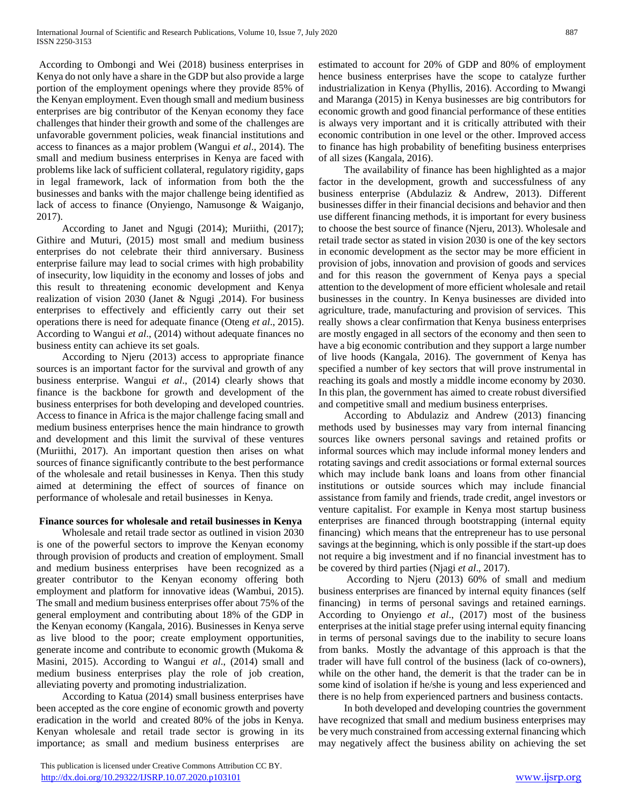According to Ombongi and Wei (2018) business enterprises in Kenya do not only have a share in the GDP but also provide a large portion of the employment openings where they provide 85% of the Kenyan employment. Even though small and medium business enterprises are big contributor of the Kenyan economy they face challenges that hinder their growth and some of the challenges are unfavorable government policies, weak financial institutions and access to finances as a major problem (Wangui *et al*., 2014). The small and medium business enterprises in Kenya are faced with problems like lack of sufficient collateral, regulatory rigidity, gaps in legal framework, lack of information from both the the businesses and banks with the major challenge being identified as lack of access to finance (Onyiengo, Namusonge & Waiganjo, 2017).

 According to Janet and Ngugi (2014); Muriithi, (2017); Githire and Muturi, (2015) most small and medium business enterprises do not celebrate their third anniversary. Business enterprise failure may lead to social crimes with high probability of insecurity, low liquidity in the economy and losses of jobs and this result to threatening economic development and Kenya realization of vision 2030 (Janet & Ngugi ,2014). For business enterprises to effectively and efficiently carry out their set operations there is need for adequate finance (Oteng *et al*., 2015). According to Wangui *et al*., (2014) without adequate finances no business entity can achieve its set goals.

 According to Njeru (2013) access to appropriate finance sources is an important factor for the survival and growth of any business enterprise. Wangui *et al*., (2014) clearly shows that finance is the backbone for growth and development of the business enterprises for both developing and developed countries. Access to finance in Africa is the major challenge facing small and medium business enterprises hence the main hindrance to growth and development and this limit the survival of these ventures (Muriithi, 2017). An important question then arises on what sources of finance significantly contribute to the best performance of the wholesale and retail businesses in Kenya. Then this study aimed at determining the effect of sources of finance on performance of wholesale and retail businesses in Kenya.

# **Finance sources for wholesale and retail businesses in Kenya**

 Wholesale and retail trade sector as outlined in vision 2030 is one of the powerful sectors to improve the Kenyan economy through provision of products and creation of employment. Small and medium business enterprises have been recognized as a greater contributor to the Kenyan economy offering both employment and platform for innovative ideas (Wambui, 2015). The small and medium business enterprises offer about 75% of the general employment and contributing about 18% of the GDP in the Kenyan economy (Kangala, 2016). Businesses in Kenya serve as live blood to the poor; create employment opportunities, generate income and contribute to economic growth (Mukoma & Masini, 2015). According to Wangui *et al*., (2014) small and medium business enterprises play the role of job creation, alleviating poverty and promoting industrialization.

 According to Katua (2014) small business enterprises have been accepted as the core engine of economic growth and poverty eradication in the world and created 80% of the jobs in Kenya. Kenyan wholesale and retail trade sector is growing in its importance; as small and medium business enterprises are

 This publication is licensed under Creative Commons Attribution CC BY. <http://dx.doi.org/10.29322/IJSRP.10.07.2020.p103101> [www.ijsrp.org](http://ijsrp.org/)

estimated to account for 20% of GDP and 80% of employment hence business enterprises have the scope to catalyze further industrialization in Kenya (Phyllis, 2016). According to Mwangi and Maranga (2015) in Kenya businesses are big contributors for economic growth and good financial performance of these entities is always very important and it is critically attributed with their economic contribution in one level or the other. Improved access to finance has high probability of benefiting business enterprises of all sizes (Kangala, 2016).

 The availability of finance has been highlighted as a major factor in the development, growth and successfulness of any business enterprise (Abdulaziz & Andrew, 2013). Different businesses differ in their financial decisions and behavior and then use different financing methods, it is important for every business to choose the best source of finance (Njeru, 2013). Wholesale and retail trade sector as stated in vision 2030 is one of the key sectors in economic development as the sector may be more efficient in provision of jobs, innovation and provision of goods and services and for this reason the government of Kenya pays a special attention to the development of more efficient wholesale and retail businesses in the country. In Kenya businesses are divided into agriculture, trade, manufacturing and provision of services. This really shows a clear confirmation that Kenya business enterprises are mostly engaged in all sectors of the economy and then seen to have a big economic contribution and they support a large number of live hoods (Kangala, 2016). The government of Kenya has specified a number of key sectors that will prove instrumental in reaching its goals and mostly a middle income economy by 2030. In this plan, the government has aimed to create robust diversified and competitive small and medium business enterprises.

 According to Abdulaziz and Andrew (2013) financing methods used by businesses may vary from internal financing sources like owners personal savings and retained profits or informal sources which may include informal money lenders and rotating savings and credit associations or formal external sources which may include bank loans and loans from other financial institutions or outside sources which may include financial assistance from family and friends, trade credit, angel investors or venture capitalist. For example in Kenya most startup business enterprises are financed through bootstrapping (internal equity financing) which means that the entrepreneur has to use personal savings at the beginning, which is only possible if the start-up does not require a big investment and if no financial investment has to be covered by third parties (Njagi *et al*., 2017).

 According to Njeru (2013) 60% of small and medium business enterprises are financed by internal equity finances (self financing) in terms of personal savings and retained earnings. According to Onyiengo *et al*., (2017) most of the business enterprises at the initial stage prefer using internal equity financing in terms of personal savings due to the inability to secure loans from banks. Mostly the advantage of this approach is that the trader will have full control of the business (lack of co-owners), while on the other hand, the demerit is that the trader can be in some kind of isolation if he/she is young and less experienced and there is no help from experienced partners and business contacts.

 In both developed and developing countries the government have recognized that small and medium business enterprises may be very much constrained from accessing external financing which may negatively affect the business ability on achieving the set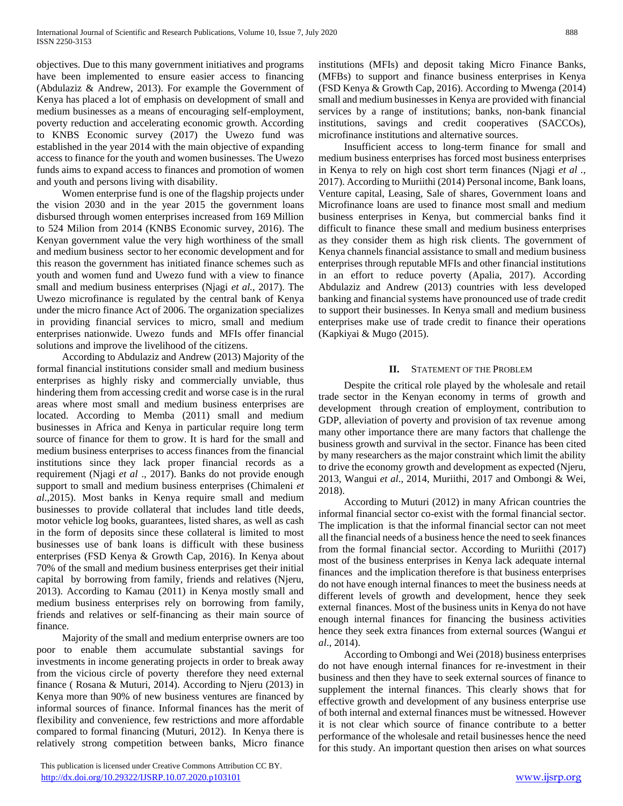objectives. Due to this many government initiatives and programs have been implemented to ensure easier access to financing (Abdulaziz & Andrew, 2013). For example the Government of Kenya has placed a lot of emphasis on development of small and medium businesses as a means of encouraging self-employment, poverty reduction and accelerating economic growth. According to KNBS Economic survey (2017) the Uwezo fund was established in the year 2014 with the main objective of expanding access to finance for the youth and women businesses. The Uwezo funds aims to expand access to finances and promotion of women and youth and persons living with disability.

 Women enterprise fund is one of the flagship projects under the vision 2030 and in the year 2015 the government loans disbursed through women enterprises increased from 169 Million to 524 Milion from 2014 (KNBS Economic survey, 2016). The Kenyan government value the very high worthiness of the small and medium business sector to her economic development and for this reason the government has initiated finance schemes such as youth and women fund and Uwezo fund with a view to finance small and medium business enterprises (Njagi *et al.,* 2017). The Uwezo microfinance is regulated by the central bank of Kenya under the micro finance Act of 2006. The organization specializes in providing financial services to micro, small and medium enterprises nationwide. Uwezo funds and MFIs offer financial solutions and improve the livelihood of the citizens.

 According to Abdulaziz and Andrew (2013) Majority of the formal financial institutions consider small and medium business enterprises as highly risky and commercially unviable, thus hindering them from accessing credit and worse case is in the rural areas where most small and medium business enterprises are located. According to Memba (2011) small and medium businesses in Africa and Kenya in particular require long term source of finance for them to grow. It is hard for the small and medium business enterprises to access finances from the financial institutions since they lack proper financial records as a requirement (Njagi *et al* ., 2017). Banks do not provide enough support to small and medium business enterprises (Chimaleni *et al*.,2015). Most banks in Kenya require small and medium businesses to provide collateral that includes land title deeds, motor vehicle log books, guarantees, listed shares, as well as cash in the form of deposits since these collateral is limited to most businesses use of bank loans is difficult with these business enterprises (FSD Kenya & Growth Cap, 2016). In Kenya about 70% of the small and medium business enterprises get their initial capital by borrowing from family, friends and relatives (Njeru, 2013). According to Kamau (2011) in Kenya mostly small and medium business enterprises rely on borrowing from family, friends and relatives or self-financing as their main source of finance.

 Majority of the small and medium enterprise owners are too poor to enable them accumulate substantial savings for investments in income generating projects in order to break away from the vicious circle of poverty therefore they need external finance ( Rosana & Muturi, 2014). According to Njeru (2013) in Kenya more than 90% of new business ventures are financed by informal sources of finance. Informal finances has the merit of flexibility and convenience, few restrictions and more affordable compared to formal financing (Muturi, 2012). In Kenya there is relatively strong competition between banks, Micro finance

 This publication is licensed under Creative Commons Attribution CC BY. <http://dx.doi.org/10.29322/IJSRP.10.07.2020.p103101> [www.ijsrp.org](http://ijsrp.org/)

institutions (MFIs) and deposit taking Micro Finance Banks, (MFBs) to support and finance business enterprises in Kenya (FSD Kenya & Growth Cap, 2016). According to Mwenga (2014) small and medium businesses in Kenya are provided with financial services by a range of institutions; banks, non-bank financial institutions, savings and credit cooperatives (SACCOs), microfinance institutions and alternative sources.

 Insufficient access to long-term finance for small and medium business enterprises has forced most business enterprises in Kenya to rely on high cost short term finances (Njagi *et al .,* 2017). According to Muriithi (2014) Personal income, Bank loans, Venture capital, Leasing, Sale of shares, Government loans and Microfinance loans are used to finance most small and medium business enterprises in Kenya, but commercial banks find it difficult to finance these small and medium business enterprises as they consider them as high risk clients. The government of Kenya channels financial assistance to small and medium business enterprises through reputable MFIs and other financial institutions in an effort to reduce poverty (Apalia, 2017). According Abdulaziz and Andrew (2013) countries with less developed banking and financial systems have pronounced use of trade credit to support their businesses. In Kenya small and medium business enterprises make use of trade credit to finance their operations (Kapkiyai & Mugo (2015).

# **II.** STATEMENT OF THE PROBLEM

 Despite the critical role played by the wholesale and retail trade sector in the Kenyan economy in terms of growth and development through creation of employment, contribution to GDP, alleviation of poverty and provision of tax revenue among many other importance there are many factors that challenge the business growth and survival in the sector. Finance has been cited by many researchers as the major constraint which limit the ability to drive the economy growth and development as expected (Njeru, 2013, Wangui *et al*., 2014, Muriithi, 2017 and Ombongi & Wei, 2018).

 According to Muturi (2012) in many African countries the informal financial sector co-exist with the formal financial sector. The implication is that the informal financial sector can not meet all the financial needs of a business hence the need to seek finances from the formal financial sector. According to Muriithi (2017) most of the business enterprises in Kenya lack adequate internal finances and the implication therefore is that business enterprises do not have enough internal finances to meet the business needs at different levels of growth and development, hence they seek external finances. Most of the business units in Kenya do not have enough internal finances for financing the business activities hence they seek extra finances from external sources (Wangui *et al*., 2014).

 According to Ombongi and Wei (2018) business enterprises do not have enough internal finances for re-investment in their business and then they have to seek external sources of finance to supplement the internal finances. This clearly shows that for effective growth and development of any business enterprise use of both internal and external finances must be witnessed. However it is not clear which source of finance contribute to a better performance of the wholesale and retail businesses hence the need for this study. An important question then arises on what sources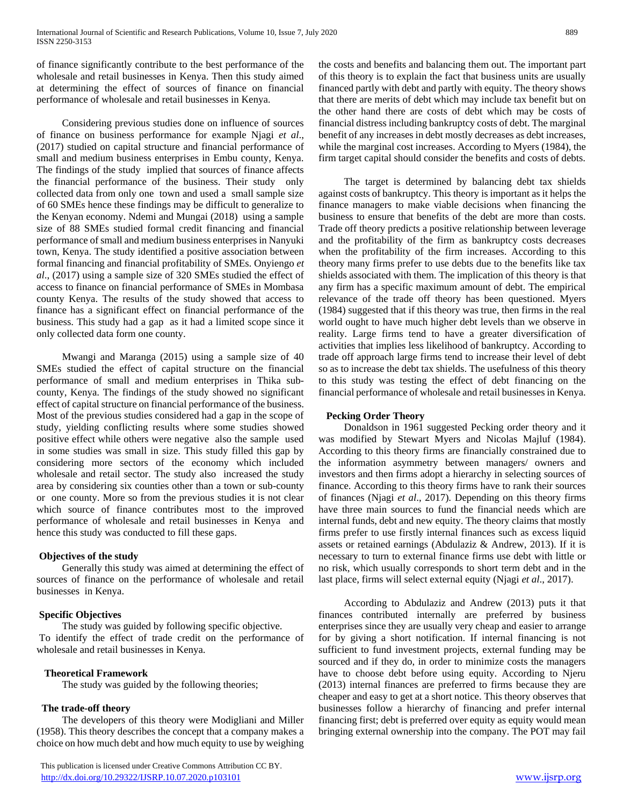of finance significantly contribute to the best performance of the wholesale and retail businesses in Kenya. Then this study aimed at determining the effect of sources of finance on financial performance of wholesale and retail businesses in Kenya.

 Considering previous studies done on influence of sources of finance on business performance for example Njagi *et al*., (2017) studied on capital structure and financial performance of small and medium business enterprises in Embu county, Kenya. The findings of the study implied that sources of finance affects the financial performance of the business. Their study only collected data from only one town and used a small sample size of 60 SMEs hence these findings may be difficult to generalize to the Kenyan economy. Ndemi and Mungai (2018) using a sample size of 88 SMEs studied formal credit financing and financial performance of small and medium business enterprises in Nanyuki town, Kenya. The study identified a positive association between formal financing and financial profitability of SMEs. Onyiengo *et al*., (2017) using a sample size of 320 SMEs studied the effect of access to finance on financial performance of SMEs in Mombasa county Kenya. The results of the study showed that access to finance has a significant effect on financial performance of the business. This study had a gap as it had a limited scope since it only collected data form one county.

 Mwangi and Maranga (2015) using a sample size of 40 SMEs studied the effect of capital structure on the financial performance of small and medium enterprises in Thika subcounty, Kenya. The findings of the study showed no significant effect of capital structure on financial performance of the business. Most of the previous studies considered had a gap in the scope of study, yielding conflicting results where some studies showed positive effect while others were negative also the sample used in some studies was small in size. This study filled this gap by considering more sectors of the economy which included wholesale and retail sector. The study also increased the study area by considering six counties other than a town or sub-county or one county. More so from the previous studies it is not clear which source of finance contributes most to the improved performance of wholesale and retail businesses in Kenya and hence this study was conducted to fill these gaps.

# **Objectives of the study**

 Generally this study was aimed at determining the effect of sources of finance on the performance of wholesale and retail businesses in Kenya.

# **Specific Objectives**

 The study was guided by following specific objective. To identify the effect of trade credit on the performance of wholesale and retail businesses in Kenya.

# **Theoretical Framework**

The study was guided by the following theories;

# **The trade-off theory**

 The developers of this theory were Modigliani and Miller (1958). This theory describes the concept that a company makes a choice on how much debt and how much equity to use by weighing

 This publication is licensed under Creative Commons Attribution CC BY. <http://dx.doi.org/10.29322/IJSRP.10.07.2020.p103101> [www.ijsrp.org](http://ijsrp.org/)

the costs and benefits and balancing them out. The important part of this theory is to explain the fact that business units are usually financed partly with debt and partly with equity. The theory shows that there are merits of debt which may include tax benefit but on the other hand there are costs of debt which may be costs of financial distress including bankruptcy costs of debt. The marginal benefit of any increases in debt mostly decreases as debt increases, while the marginal cost increases. According to Myers (1984), the firm target capital should consider the benefits and costs of debts.

 The target is determined by balancing debt tax shields against costs of bankruptcy. This theory is important as it helps the finance managers to make viable decisions when financing the business to ensure that benefits of the debt are more than costs. Trade off theory predicts a positive relationship between leverage and the profitability of the firm as bankruptcy costs decreases when the profitability of the firm increases. According to this theory many firms prefer to use debts due to the benefits like tax shields associated with them. The implication of this theory is that any firm has a specific maximum amount of debt. The empirical relevance of the trade off theory has been questioned. Myers (1984) suggested that if this theory was true, then firms in the real world ought to have much higher debt levels than we observe in reality. Large firms tend to have a greater diversification of activities that implies less likelihood of bankruptcy. According to trade off approach large firms tend to increase their level of debt so as to increase the debt tax shields. The usefulness of this theory to this study was testing the effect of debt financing on the financial performance of wholesale and retail businesses in Kenya.

# **Pecking Order Theory**

 Donaldson in 1961 suggested Pecking order theory and it was modified by Stewart Myers and Nicolas Majluf (1984). According to this theory firms are financially constrained due to the information asymmetry between managers/ owners and investors and then firms adopt a hierarchy in selecting sources of finance. According to this theory firms have to rank their sources of finances (Njagi *et al*., 2017). Depending on this theory firms have three main sources to fund the financial needs which are internal funds, debt and new equity. The theory claims that mostly firms prefer to use firstly internal finances such as excess liquid assets or retained earnings (Abdulaziz & Andrew, 2013). If it is necessary to turn to external finance firms use debt with little or no risk, which usually corresponds to short term debt and in the last place, firms will select external equity (Njagi *et al*., 2017).

 According to Abdulaziz and Andrew (2013) puts it that finances contributed internally are preferred by business enterprises since they are usually very cheap and easier to arrange for by giving a short notification. If internal financing is not sufficient to fund investment projects, external funding may be sourced and if they do, in order to minimize costs the managers have to choose debt before using equity. According to Njeru (2013) internal finances are preferred to firms because they are cheaper and easy to get at a short notice. This theory observes that businesses follow a hierarchy of financing and prefer internal financing first; debt is preferred over equity as equity would mean bringing external ownership into the company. The POT may fail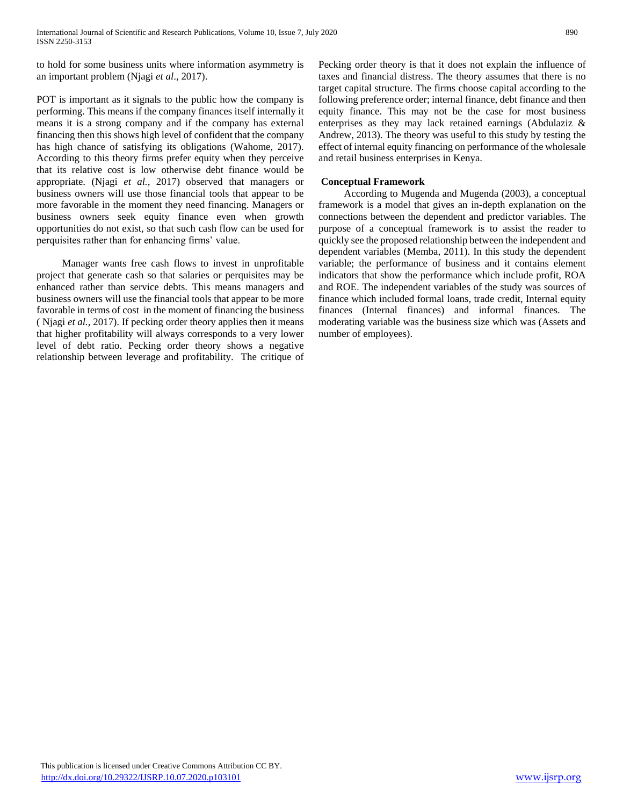to hold for some business units where information asymmetry is an important problem (Njagi *et al*., 2017).

POT is important as it signals to the public how the company is performing. This means if the company finances itself internally it means it is a strong company and if the company has external financing then this shows high level of confident that the company has high chance of satisfying its obligations (Wahome, 2017). According to this theory firms prefer equity when they perceive that its relative cost is low otherwise debt finance would be appropriate. (Njagi *et al.,* 2017) observed that managers or business owners will use those financial tools that appear to be more favorable in the moment they need financing. Managers or business owners seek equity finance even when growth opportunities do not exist, so that such cash flow can be used for perquisites rather than for enhancing firms' value.

 Manager wants free cash flows to invest in unprofitable project that generate cash so that salaries or perquisites may be enhanced rather than service debts. This means managers and business owners will use the financial tools that appear to be more favorable in terms of cost in the moment of financing the business ( Njagi *et al.,* 2017). If pecking order theory applies then it means that higher profitability will always corresponds to a very lower level of debt ratio. Pecking order theory shows a negative relationship between leverage and profitability. The critique of Pecking order theory is that it does not explain the influence of taxes and financial distress. The theory assumes that there is no target capital structure. The firms choose capital according to the following preference order; internal finance, debt finance and then equity finance. This may not be the case for most business enterprises as they may lack retained earnings (Abdulaziz & Andrew, 2013). The theory was useful to this study by testing the effect of internal equity financing on performance of the wholesale and retail business enterprises in Kenya.

# **Conceptual Framework**

 According to Mugenda and Mugenda (2003), a conceptual framework is a model that gives an in-depth explanation on the connections between the dependent and predictor variables. The purpose of a conceptual framework is to assist the reader to quickly see the proposed relationship between the independent and dependent variables (Memba, 2011). In this study the dependent variable; the performance of business and it contains element indicators that show the performance which include profit, ROA and ROE. The independent variables of the study was sources of finance which included formal loans, trade credit, Internal equity finances (Internal finances) and informal finances. The moderating variable was the business size which was (Assets and number of employees).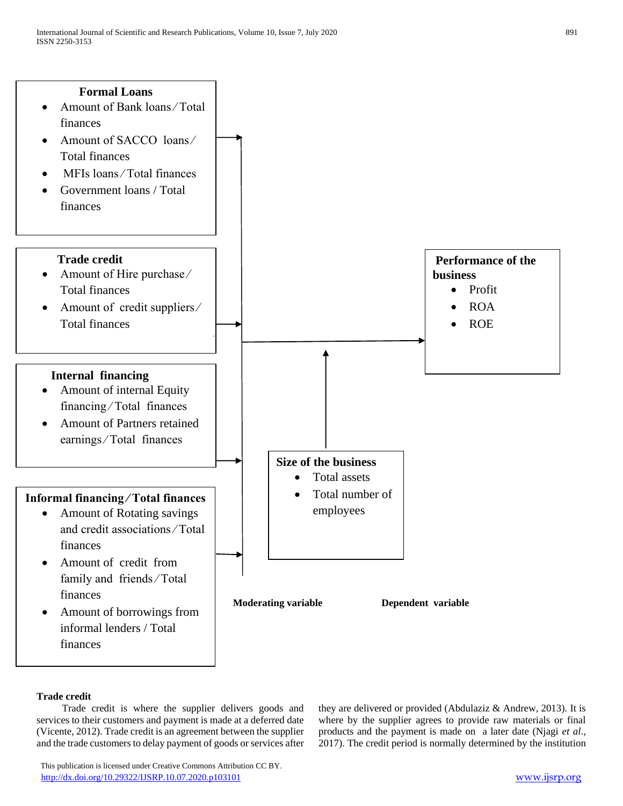

# **Trade credit**

 Trade credit is where the supplier delivers goods and services to their customers and payment is made at a deferred date (Vicente, 2012). Trade credit is an agreement between the supplier and the trade customers to delay payment of goods or services after they are delivered or provided (Abdulaziz & Andrew, 2013). It is where by the supplier agrees to provide raw materials or final products and the payment is made on a later date (Njagi *et al*., 2017). The credit period is normally determined by the institution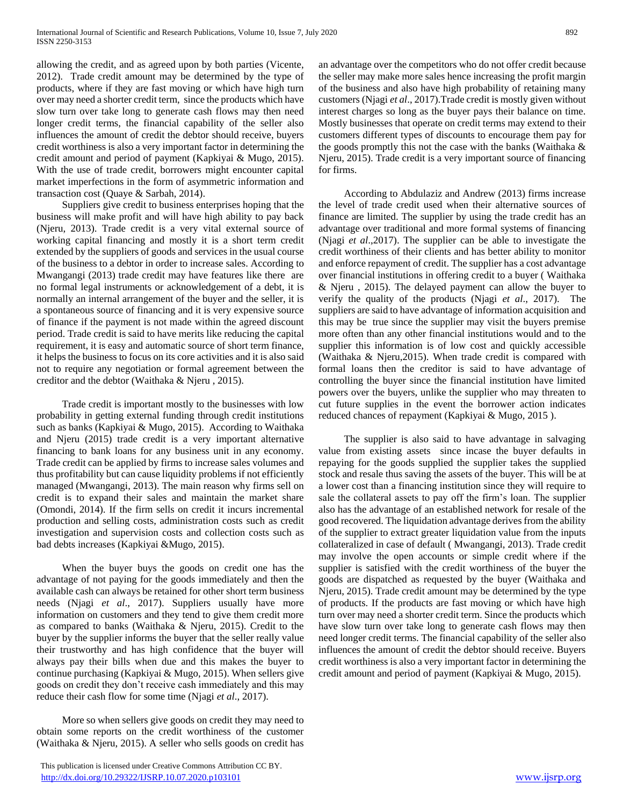allowing the credit, and as agreed upon by both parties (Vicente, 2012). Trade credit amount may be determined by the type of products, where if they are fast moving or which have high turn over may need a shorter credit term, since the products which have slow turn over take long to generate cash flows may then need longer credit terms, the financial capability of the seller also influences the amount of credit the debtor should receive, buyers credit worthiness is also a very important factor in determining the credit amount and period of payment (Kapkiyai & Mugo, 2015). With the use of trade credit, borrowers might encounter capital market imperfections in the form of asymmetric information and transaction cost (Quaye & Sarbah, 2014).

 Suppliers give credit to business enterprises hoping that the business will make profit and will have high ability to pay back (Njeru, 2013). Trade credit is a very vital external source of working capital financing and mostly it is a short term credit extended by the suppliers of goods and services in the usual course of the business to a debtor in order to increase sales. According to Mwangangi (2013) trade credit may have features like there are no formal legal instruments or acknowledgement of a debt, it is normally an internal arrangement of the buyer and the seller, it is a spontaneous source of financing and it is very expensive source of finance if the payment is not made within the agreed discount period. Trade credit is said to have merits like reducing the capital requirement, it is easy and automatic source of short term finance, it helps the business to focus on its core activities and it is also said not to require any negotiation or formal agreement between the creditor and the debtor (Waithaka & Njeru , 2015).

 Trade credit is important mostly to the businesses with low probability in getting external funding through credit institutions such as banks (Kapkiyai & Mugo, 2015). According to Waithaka and Njeru (2015) trade credit is a very important alternative financing to bank loans for any business unit in any economy. Trade credit can be applied by firms to increase sales volumes and thus profitability but can cause liquidity problems if not efficiently managed (Mwangangi, 2013). The main reason why firms sell on credit is to expand their sales and maintain the market share (Omondi, 2014). If the firm sells on credit it incurs incremental production and selling costs, administration costs such as credit investigation and supervision costs and collection costs such as bad debts increases (Kapkiyai &Mugo, 2015).

 When the buyer buys the goods on credit one has the advantage of not paying for the goods immediately and then the available cash can always be retained for other short term business needs (Njagi *et al*., 2017). Suppliers usually have more information on customers and they tend to give them credit more as compared to banks (Waithaka & Njeru, 2015). Credit to the buyer by the supplier informs the buyer that the seller really value their trustworthy and has high confidence that the buyer will always pay their bills when due and this makes the buyer to continue purchasing (Kapkiyai & Mugo, 2015). When sellers give goods on credit they don't receive cash immediately and this may reduce their cash flow for some time (Njagi *et al*., 2017).

 More so when sellers give goods on credit they may need to obtain some reports on the credit worthiness of the customer (Waithaka & Njeru, 2015). A seller who sells goods on credit has an advantage over the competitors who do not offer credit because the seller may make more sales hence increasing the profit margin of the business and also have high probability of retaining many customers (Njagi *et al*., 2017).Trade credit is mostly given without interest charges so long as the buyer pays their balance on time. Mostly businesses that operate on credit terms may extend to their customers different types of discounts to encourage them pay for the goods promptly this not the case with the banks (Waithaka  $\&$ Njeru, 2015). Trade credit is a very important source of financing for firms.

 According to Abdulaziz and Andrew (2013) firms increase the level of trade credit used when their alternative sources of finance are limited. The supplier by using the trade credit has an advantage over traditional and more formal systems of financing (Njagi *et al*.,2017). The supplier can be able to investigate the credit worthiness of their clients and has better ability to monitor and enforce repayment of credit. The supplier has a cost advantage over financial institutions in offering credit to a buyer ( Waithaka & Njeru , 2015). The delayed payment can allow the buyer to verify the quality of the products (Njagi *et al*., 2017). The suppliers are said to have advantage of information acquisition and this may be true since the supplier may visit the buyers premise more often than any other financial institutions would and to the supplier this information is of low cost and quickly accessible (Waithaka & Njeru,2015). When trade credit is compared with formal loans then the creditor is said to have advantage of controlling the buyer since the financial institution have limited powers over the buyers, unlike the supplier who may threaten to cut future supplies in the event the borrower action indicates reduced chances of repayment (Kapkiyai & Mugo, 2015 ).

 The supplier is also said to have advantage in salvaging value from existing assets since incase the buyer defaults in repaying for the goods supplied the supplier takes the supplied stock and resale thus saving the assets of the buyer. This will be at a lower cost than a financing institution since they will require to sale the collateral assets to pay off the firm's loan. The supplier also has the advantage of an established network for resale of the good recovered. The liquidation advantage derives from the ability of the supplier to extract greater liquidation value from the inputs collateralized in case of default ( Mwangangi, 2013). Trade credit may involve the open accounts or simple credit where if the supplier is satisfied with the credit worthiness of the buyer the goods are dispatched as requested by the buyer (Waithaka and Njeru, 2015). Trade credit amount may be determined by the type of products. If the products are fast moving or which have high turn over may need a shorter credit term. Since the products which have slow turn over take long to generate cash flows may then need longer credit terms. The financial capability of the seller also influences the amount of credit the debtor should receive. Buyers credit worthiness is also a very important factor in determining the credit amount and period of payment (Kapkiyai & Mugo, 2015).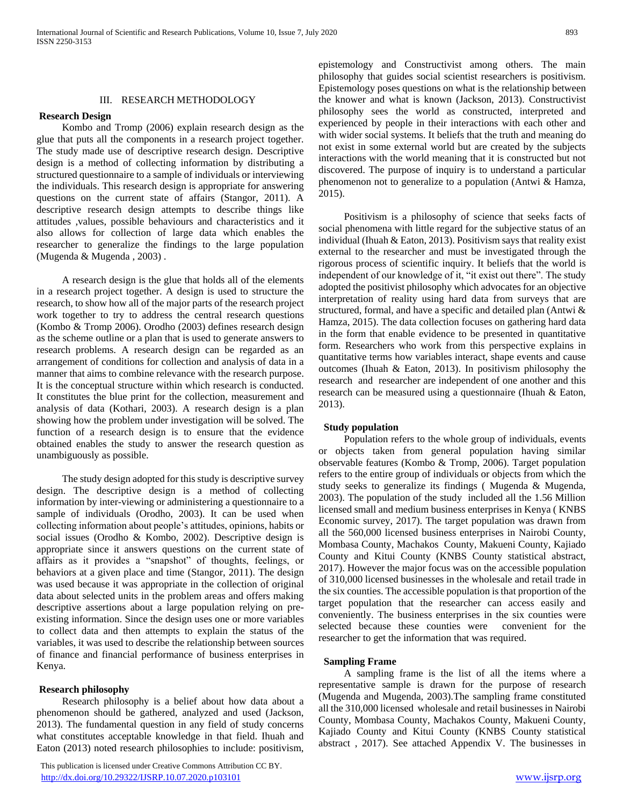## III. RESEARCH METHODOLOGY

#### **Research Design**

 Kombo and Tromp (2006) explain research design as the glue that puts all the components in a research project together. The study made use of descriptive research design. Descriptive design is a method of collecting information by distributing a structured questionnaire to a sample of individuals or interviewing the individuals. This research design is appropriate for answering questions on the current state of affairs (Stangor, 2011). A descriptive research design attempts to describe things like attitudes ,values, possible behaviours and characteristics and it also allows for collection of large data which enables the researcher to generalize the findings to the large population (Mugenda & Mugenda , 2003) .

 A research design is the glue that holds all of the elements in a research project together. A design is used to structure the research, to show how all of the major parts of the research project work together to try to address the central research questions (Kombo & Tromp 2006). Orodho (2003) defines research design as the scheme outline or a plan that is used to generate answers to research problems. A research design can be regarded as an arrangement of conditions for collection and analysis of data in a manner that aims to combine relevance with the research purpose. It is the conceptual structure within which research is conducted. It constitutes the blue print for the collection, measurement and analysis of data (Kothari, 2003). A research design is a plan showing how the problem under investigation will be solved. The function of a research design is to ensure that the evidence obtained enables the study to answer the research question as unambiguously as possible.

 The study design adopted for this study is descriptive survey design. The descriptive design is a method of collecting information by inter-viewing or administering a questionnaire to a sample of individuals (Orodho, 2003). It can be used when collecting information about people's attitudes, opinions, habits or social issues (Orodho & Kombo, 2002). Descriptive design is appropriate since it answers questions on the current state of affairs as it provides a "snapshot" of thoughts, feelings, or behaviors at a given place and time (Stangor, 2011). The design was used because it was appropriate in the collection of original data about selected units in the problem areas and offers making descriptive assertions about a large population relying on preexisting information. Since the design uses one or more variables to collect data and then attempts to explain the status of the variables, it was used to describe the relationship between sources of finance and financial performance of business enterprises in Kenya.

#### **Research philosophy**

 Research philosophy is a belief about how data about a phenomenon should be gathered, analyzed and used (Jackson, 2013). The fundamental question in any field of study concerns what constitutes acceptable knowledge in that field. Ihuah and Eaton (2013) noted research philosophies to include: positivism,

 This publication is licensed under Creative Commons Attribution CC BY. <http://dx.doi.org/10.29322/IJSRP.10.07.2020.p103101> [www.ijsrp.org](http://ijsrp.org/)

epistemology and Constructivist among others. The main philosophy that guides social scientist researchers is positivism. Epistemology poses questions on what is the relationship between the knower and what is known (Jackson, 2013). Constructivist philosophy sees the world as constructed, interpreted and experienced by people in their interactions with each other and with wider social systems. It beliefs that the truth and meaning do not exist in some external world but are created by the subjects interactions with the world meaning that it is constructed but not discovered. The purpose of inquiry is to understand a particular phenomenon not to generalize to a population (Antwi & Hamza, 2015).

 Positivism is a philosophy of science that seeks facts of social phenomena with little regard for the subjective status of an individual (Ihuah & Eaton, 2013). Positivism says that reality exist external to the researcher and must be investigated through the rigorous process of scientific inquiry. It beliefs that the world is independent of our knowledge of it, "it exist out there". The study adopted the positivist philosophy which advocates for an objective interpretation of reality using hard data from surveys that are structured, formal, and have a specific and detailed plan (Antwi & Hamza, 2015). The data collection focuses on gathering hard data in the form that enable evidence to be presented in quantitative form. Researchers who work from this perspective explains in quantitative terms how variables interact, shape events and cause outcomes (Ihuah & Eaton, 2013). In positivism philosophy the research and researcher are independent of one another and this research can be measured using a questionnaire (Ihuah & Eaton, 2013).

#### **Study population**

 Population refers to the whole group of individuals, events or objects taken from general population having similar observable features (Kombo & Tromp, 2006). Target population refers to the entire group of individuals or objects from which the study seeks to generalize its findings ( Mugenda & Mugenda, 2003). The population of the study included all the 1.56 Million licensed small and medium business enterprises in Kenya ( KNBS Economic survey, 2017). The target population was drawn from all the 560,000 licensed business enterprises in Nairobi County, Mombasa County, Machakos County, Makueni County, Kajiado County and Kitui County (KNBS County statistical abstract, 2017). However the major focus was on the accessible population of 310,000 licensed businesses in the wholesale and retail trade in the six counties. The accessible population is that proportion of the target population that the researcher can access easily and conveniently. The business enterprises in the six counties were selected because these counties were convenient for the researcher to get the information that was required.

#### **Sampling Frame**

 A sampling frame is the list of all the items where a representative sample is drawn for the purpose of research (Mugenda and Mugenda, 2003).The sampling frame constituted all the 310,000 licensed wholesale and retail businesses in Nairobi County, Mombasa County, Machakos County, Makueni County, Kajiado County and Kitui County (KNBS County statistical abstract , 2017). See attached Appendix V. The businesses in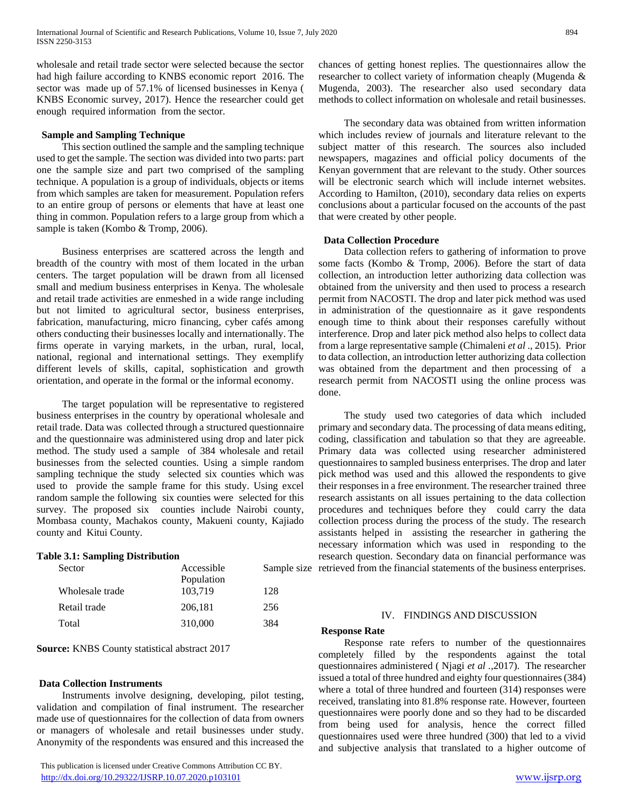wholesale and retail trade sector were selected because the sector had high failure according to KNBS economic report 2016. The sector was made up of 57.1% of licensed businesses in Kenya ( KNBS Economic survey, 2017). Hence the researcher could get enough required information from the sector.

#### **Sample and Sampling Technique**

 This section outlined the sample and the sampling technique used to get the sample. The section was divided into two parts: part one the sample size and part two comprised of the sampling technique. A population is a group of individuals, objects or items from which samples are taken for measurement. Population refers to an entire group of persons or elements that have at least one thing in common. Population refers to a large group from which a sample is taken (Kombo & Tromp, 2006).

 Business enterprises are scattered across the length and breadth of the country with most of them located in the urban centers. The target population will be drawn from all licensed small and medium business enterprises in Kenya. The wholesale and retail trade activities are enmeshed in a wide range including but not limited to agricultural sector, business enterprises, fabrication, manufacturing, micro financing, cyber cafés among others conducting their businesses locally and internationally. The firms operate in varying markets, in the urban, rural, local, national, regional and international settings. They exemplify different levels of skills, capital, sophistication and growth orientation, and operate in the formal or the informal economy.

 The target population will be representative to registered business enterprises in the country by operational wholesale and retail trade. Data was collected through a structured questionnaire and the questionnaire was administered using drop and later pick method. The study used a sample of 384 wholesale and retail businesses from the selected counties. Using a simple random sampling technique the study selected six counties which was used to provide the sample frame for this study. Using excel random sample the following six counties were selected for this survey. The proposed six counties include Nairobi county, Mombasa county, Machakos county, Makueni county, Kajiado county and Kitui County.

#### **Table 3.1: Sampling Distribution**

| Sector          | Accessible | Sampl |
|-----------------|------------|-------|
|                 | Population |       |
| Wholesale trade | 103.719    | 128   |
| Retail trade    | 206.181    | 256   |
| Total           | 310,000    | 384   |

#### **Source:** KNBS County statistical abstract 2017

#### **Data Collection Instruments**

 Instruments involve designing, developing, pilot testing, validation and compilation of final instrument. The researcher made use of questionnaires for the collection of data from owners or managers of wholesale and retail businesses under study. Anonymity of the respondents was ensured and this increased the

 This publication is licensed under Creative Commons Attribution CC BY. <http://dx.doi.org/10.29322/IJSRP.10.07.2020.p103101> [www.ijsrp.org](http://ijsrp.org/)

chances of getting honest replies. The questionnaires allow the researcher to collect variety of information cheaply (Mugenda & Mugenda, 2003). The researcher also used secondary data methods to collect information on wholesale and retail businesses.

 The secondary data was obtained from written information which includes review of journals and literature relevant to the subject matter of this research. The sources also included newspapers, magazines and official policy documents of the Kenyan government that are relevant to the study. Other sources will be electronic search which will include internet websites. According to Hamilton, (2010), secondary data relies on experts conclusions about a particular focused on the accounts of the past that were created by other people.

# **Data Collection Procedure**

 Data collection refers to gathering of information to prove some facts (Kombo & Tromp, 2006). Before the start of data collection, an introduction letter authorizing data collection was obtained from the university and then used to process a research permit from NACOSTI. The drop and later pick method was used in administration of the questionnaire as it gave respondents enough time to think about their responses carefully without interference. Drop and later pick method also helps to collect data from a large representative sample (Chimaleni *et al* ., 2015). Prior to data collection, an introduction letter authorizing data collection was obtained from the department and then processing of a research permit from NACOSTI using the online process was done.

Sample size retrieved from the financial statements of the business enterprises. The study used two categories of data which included primary and secondary data. The processing of data means editing, coding, classification and tabulation so that they are agreeable. Primary data was collected using researcher administered questionnaires to sampled business enterprises. The drop and later pick method was used and this allowed the respondents to give their responses in a free environment. The researcher trained three research assistants on all issues pertaining to the data collection procedures and techniques before they could carry the data collection process during the process of the study. The research assistants helped in assisting the researcher in gathering the necessary information which was used in responding to the research question. Secondary data on financial performance was

#### IV. FINDINGS AND DISCUSSION

#### **Response Rate**

 Response rate refers to number of the questionnaires completely filled by the respondents against the total questionnaires administered ( Njagi *et al .,*2017). The researcher issued a total of three hundred and eighty four questionnaires (384) where a total of three hundred and fourteen (314) responses were received, translating into 81.8% response rate. However, fourteen questionnaires were poorly done and so they had to be discarded from being used for analysis, hence the correct filled questionnaires used were three hundred (300) that led to a vivid and subjective analysis that translated to a higher outcome of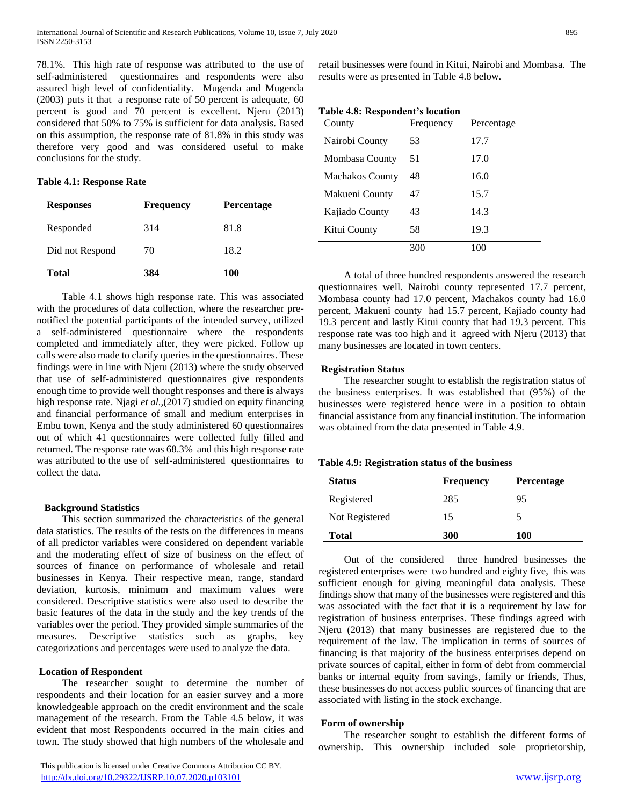78.1%. This high rate of response was attributed to the use of self-administered questionnaires and respondents were also assured high level of confidentiality. Mugenda and Mugenda (2003) puts it that a response rate of 50 percent is adequate, 60 percent is good and 70 percent is excellent. Njeru (2013) considered that 50% to 75% is sufficient for data analysis. Based on this assumption, the response rate of 81.8% in this study was therefore very good and was considered useful to make conclusions for the study.

#### **Table 4.1: Response Rate**

| <b>Responses</b> | <b>Frequency</b> | <b>Percentage</b> |
|------------------|------------------|-------------------|
| Responded        | 314              | 81.8              |
| Did not Respond  | 70               | 18.2              |
| Total            | 384              | 100               |

 Table 4.1 shows high response rate. This was associated with the procedures of data collection, where the researcher prenotified the potential participants of the intended survey, utilized a self-administered questionnaire where the respondents completed and immediately after, they were picked. Follow up calls were also made to clarify queries in the questionnaires. These findings were in line with Njeru (2013) where the study observed that use of self-administered questionnaires give respondents enough time to provide well thought responses and there is always high response rate. Njagi *et al.,*(2017) studied on equity financing and financial performance of small and medium enterprises in Embu town, Kenya and the study administered 60 questionnaires out of which 41 questionnaires were collected fully filled and returned. The response rate was 68.3% and this high response rate was attributed to the use of self-administered questionnaires to collect the data.

# **Background Statistics**

 This section summarized the characteristics of the general data statistics. The results of the tests on the differences in means of all predictor variables were considered on dependent variable and the moderating effect of size of business on the effect of sources of finance on performance of wholesale and retail businesses in Kenya. Their respective mean, range, standard deviation, kurtosis, minimum and maximum values were considered. Descriptive statistics were also used to describe the basic features of the data in the study and the key trends of the variables over the period. They provided simple summaries of the measures. Descriptive statistics such as graphs, key categorizations and percentages were used to analyze the data.

# **Location of Respondent**

 The researcher sought to determine the number of respondents and their location for an easier survey and a more knowledgeable approach on the credit environment and the scale management of the research. From the Table 4.5 below, it was evident that most Respondents occurred in the main cities and town. The study showed that high numbers of the wholesale and

 This publication is licensed under Creative Commons Attribution CC BY. <http://dx.doi.org/10.29322/IJSRP.10.07.2020.p103101> [www.ijsrp.org](http://ijsrp.org/)

retail businesses were found in Kitui, Nairobi and Mombasa. The results were as presented in Table 4.8 below.

# **Table 4.8: Respondent's location**

| County          | Frequency | Percentage |
|-----------------|-----------|------------|
| Nairobi County  | 53        | 17.7       |
| Mombasa County  | 51        | 17.0       |
| Machakos County | 48        | 16.0       |
| Makueni County  | 47        | 15.7       |
| Kajiado County  | 43        | 14.3       |
| Kitui County    | 58        | 19.3       |
|                 | 300       | 100        |

 A total of three hundred respondents answered the research questionnaires well. Nairobi county represented 17.7 percent, Mombasa county had 17.0 percent, Machakos county had 16.0 percent, Makueni county had 15.7 percent, Kajiado county had 19.3 percent and lastly Kitui county that had 19.3 percent. This response rate was too high and it agreed with Njeru (2013) that many businesses are located in town centers.

#### **Registration Status**

 The researcher sought to establish the registration status of the business enterprises. It was established that (95%) of the businesses were registered hence were in a position to obtain financial assistance from any financial institution. The information was obtained from the data presented in Table 4.9.

#### **Table 4.9: Registration status of the business**

| <b>Status</b>  | <b>Frequency</b> | Percentage |
|----------------|------------------|------------|
| Registered     | 285              | 95         |
| Not Registered | 15               |            |
| <b>Total</b>   | 300              | 100        |

 Out of the considered three hundred businesses the registered enterprises were two hundred and eighty five, this was sufficient enough for giving meaningful data analysis. These findings show that many of the businesses were registered and this was associated with the fact that it is a requirement by law for registration of business enterprises. These findings agreed with Njeru (2013) that many businesses are registered due to the requirement of the law. The implication in terms of sources of financing is that majority of the business enterprises depend on private sources of capital, either in form of debt from commercial banks or internal equity from savings, family or friends, Thus, these businesses do not access public sources of financing that are associated with listing in the stock exchange.

# **Form of ownership**

 The researcher sought to establish the different forms of ownership. This ownership included sole proprietorship,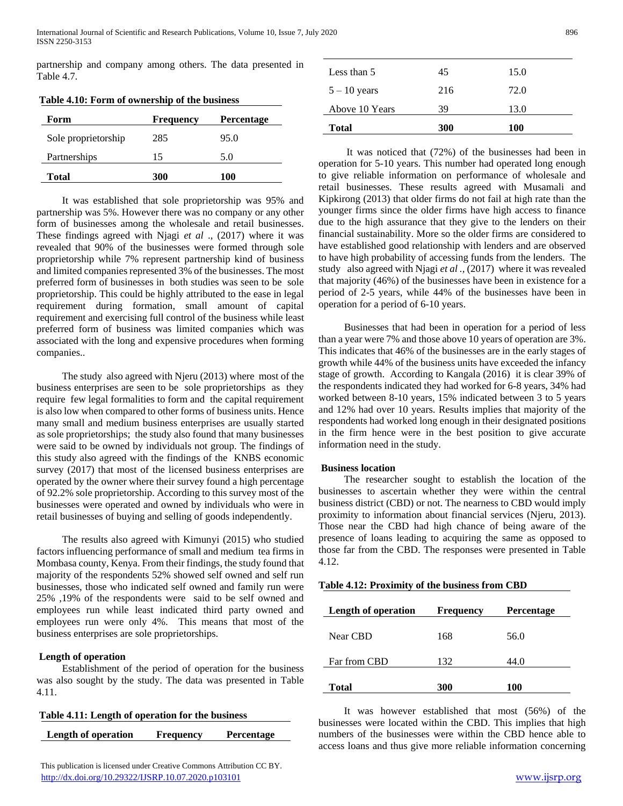partnership and company among others. The data presented in Table 4.7.

| Form                | <b>Frequency</b> | <b>Percentage</b> |
|---------------------|------------------|-------------------|
| Sole proprietorship | 285              | 95.0              |
| Partnerships        | 15               | 5.0               |
| <b>Total</b>        | 300              | 100               |

 It was established that sole proprietorship was 95% and partnership was 5%. However there was no company or any other form of businesses among the wholesale and retail businesses. These findings agreed with Njagi *et al* ., (2017) where it was revealed that 90% of the businesses were formed through sole proprietorship while 7% represent partnership kind of business and limited companies represented 3% of the businesses. The most preferred form of businesses in both studies was seen to be sole proprietorship. This could be highly attributed to the ease in legal requirement during formation, small amount of capital requirement and exercising full control of the business while least preferred form of business was limited companies which was associated with the long and expensive procedures when forming companies..

 The study also agreed with Njeru (2013) where most of the business enterprises are seen to be sole proprietorships as they require few legal formalities to form and the capital requirement is also low when compared to other forms of business units. Hence many small and medium business enterprises are usually started as sole proprietorships; the study also found that many businesses were said to be owned by individuals not group. The findings of this study also agreed with the findings of the KNBS economic survey (2017) that most of the licensed business enterprises are operated by the owner where their survey found a high percentage of 92.2% sole proprietorship. According to this survey most of the businesses were operated and owned by individuals who were in retail businesses of buying and selling of goods independently.

 The results also agreed with Kimunyi (2015) who studied factors influencing performance of small and medium tea firms in Mombasa county, Kenya. From their findings, the study found that majority of the respondents 52% showed self owned and self run businesses, those who indicated self owned and family run were 25% ,19% of the respondents were said to be self owned and employees run while least indicated third party owned and employees run were only 4%. This means that most of the business enterprises are sole proprietorships.

# **Length of operation**

 Establishment of the period of operation for the business was also sought by the study. The data was presented in Table 4.11.

| Table 4.11: Length of operation for the business |                  |                   |
|--------------------------------------------------|------------------|-------------------|
| Length of operation                              | <b>Frequency</b> | <b>Percentage</b> |

| <b>Total</b>   | 300 | 100  |  |
|----------------|-----|------|--|
| Above 10 Years | 39  | 13.0 |  |
| $5 - 10$ years | 216 | 72.0 |  |
| Less than 5    | 45  | 15.0 |  |

 It was noticed that (72%) of the businesses had been in operation for 5-10 years. This number had operated long enough to give reliable information on performance of wholesale and retail businesses. These results agreed with Musamali and Kipkirong (2013) that older firms do not fail at high rate than the younger firms since the older firms have high access to finance due to the high assurance that they give to the lenders on their financial sustainability. More so the older firms are considered to have established good relationship with lenders and are observed to have high probability of accessing funds from the lenders. The study also agreed with Njagi *et al .,* (2017) where it was revealed that majority (46%) of the businesses have been in existence for a period of 2-5 years, while 44% of the businesses have been in operation for a period of 6-10 years.

 Businesses that had been in operation for a period of less than a year were 7% and those above 10 years of operation are 3%. This indicates that 46% of the businesses are in the early stages of growth while 44% of the business units have exceeded the infancy stage of growth. According to Kangala (2016) it is clear 39% of the respondents indicated they had worked for 6-8 years, 34% had worked between 8-10 years, 15% indicated between 3 to 5 years and 12% had over 10 years. Results implies that majority of the respondents had worked long enough in their designated positions in the firm hence were in the best position to give accurate information need in the study.

#### **Business location**

 The researcher sought to establish the location of the businesses to ascertain whether they were within the central business district (CBD) or not. The nearness to CBD would imply proximity to information about financial services (Njeru, 2013). Those near the CBD had high chance of being aware of the presence of loans leading to acquiring the same as opposed to those far from the CBD. The responses were presented in Table 4.12.

| Table 4.12: Proximity of the business from CBD |  |  |  |  |  |
|------------------------------------------------|--|--|--|--|--|
|------------------------------------------------|--|--|--|--|--|

| Length of operation | <b>Frequency</b> | <b>Percentage</b> |
|---------------------|------------------|-------------------|
| Near CBD            | 168              | 56.0              |
| Far from CBD        | 132              | 44.0              |
| <b>Total</b>        | 300              | <b>100</b>        |

 It was however established that most (56%) of the businesses were located within the CBD. This implies that high numbers of the businesses were within the CBD hence able to access loans and thus give more reliable information concerning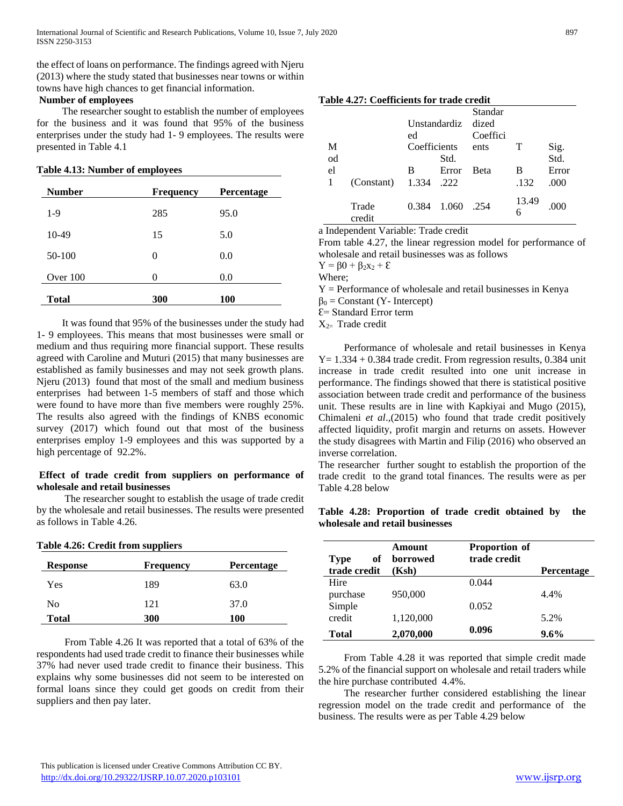the effect of loans on performance. The findings agreed with Njeru (2013) where the study stated that businesses near towns or within towns have high chances to get financial information.

# **Number of employees**

 The researcher sought to establish the number of employees for the business and it was found that 95% of the business enterprises under the study had 1- 9 employees. The results were presented in Table 4.1

# **Table 4.13: Number of employees**

| <b>Number</b> | <b>Frequency</b> | Percentage |
|---------------|------------------|------------|
| 1-9           | 285              | 95.0       |
| 10-49         | 15               | 5.0        |
| 50-100        | 0                | 0.0        |
| Over $100$    | ∩                | 0.0        |
| Total         | 300              | 100        |

 It was found that 95% of the businesses under the study had 1- 9 employees. This means that most businesses were small or medium and thus requiring more financial support. These results agreed with Caroline and Muturi (2015) that many businesses are established as family businesses and may not seek growth plans. Njeru (2013) found that most of the small and medium business enterprises had between 1-5 members of staff and those which were found to have more than five members were roughly 25%. The results also agreed with the findings of KNBS economic survey (2017) which found out that most of the business enterprises employ 1-9 employees and this was supported by a high percentage of 92.2%.

# **Effect of trade credit from suppliers on performance of wholesale and retail businesses**

 The researcher sought to establish the usage of trade credit by the wholesale and retail businesses. The results were presented as follows in Table 4.26.

| Table 4.26: Credit from suppliers |           |                   |
|-----------------------------------|-----------|-------------------|
| <b>Response</b>                   | Frequency | <b>Percentage</b> |
| Yes                               | 189       | 63.0              |
| No                                | 121       | 37.0              |
| Total                             | 300       | <b>100</b>        |

 From Table 4.26 It was reported that a total of 63% of the respondents had used trade credit to finance their businesses while 37% had never used trade credit to finance their business. This explains why some businesses did not seem to be interested on formal loans since they could get goods on credit from their suppliers and then pay later.

# **Table 4.27: Coefficients for trade credit**

|    |                 |              |       | Standar  |                         |              |  |
|----|-----------------|--------------|-------|----------|-------------------------|--------------|--|
|    |                 | Unstandardiz |       | dized    |                         |              |  |
|    |                 | ed           |       | Coeffici |                         |              |  |
| М  |                 | Coefficients |       | ents     | Т                       | Sig.<br>Std. |  |
| od |                 |              | Std.  |          |                         |              |  |
| el |                 | в            | Error | Beta     | В                       | Error        |  |
|    | (Constant)      | 1.334        | .222  |          | .132                    | .000         |  |
|    | Trade<br>credit | 0.384        | 1.060 | .254     | 13.49<br>$\overline{6}$ | .000         |  |

a Independent Variable: Trade credit

From table 4.27, the linear regression model for performance of wholesale and retail businesses was as follows

 $Y = \beta 0 + \beta_2 x_2 + \epsilon$ 

Where;

 $Y =$  Performance of wholesale and retail businesses in Kenya

 $\beta_0$  = Constant (Y- Intercept)

Ɛ= Standard Error term

 $X_{2=}$  Trade credit

 Performance of wholesale and retail businesses in Kenya  $Y = 1.334 + 0.384$  trade credit. From regression results, 0.384 unit increase in trade credit resulted into one unit increase in performance. The findings showed that there is statistical positive association between trade credit and performance of the business unit. These results are in line with Kapkiyai and Mugo (2015), Chimaleni *et al*.,(2015) who found that trade credit positively affected liquidity, profit margin and returns on assets. However the study disagrees with Martin and Filip (2016) who observed an inverse correlation.

The researcher further sought to establish the proportion of the trade credit to the grand total finances. The results were as per Table 4.28 below

|  | Table 4.28: Proportion of trade credit obtained by the |  |  |  |
|--|--------------------------------------------------------|--|--|--|
|  | wholesale and retail businesses                        |  |  |  |

| of<br><b>Type</b> | Amount<br>borrowed | <b>Proportion of</b><br>trade credit |            |
|-------------------|--------------------|--------------------------------------|------------|
| trade credit      | (Ksh)              |                                      | Percentage |
| Hire              |                    | 0.044                                |            |
| purchase          | 950,000            |                                      | 4.4%       |
| Simple            |                    | 0.052                                |            |
| credit            | 1,120,000          |                                      | 5.2%       |
| <b>Total</b>      | 2,070,000          | 0.096                                | $9.6\%$    |

 From Table 4.28 it was reported that simple credit made 5.2% of the financial support on wholesale and retail traders while the hire purchase contributed 4.4%.

 The researcher further considered establishing the linear regression model on the trade credit and performance of the business. The results were as per Table 4.29 below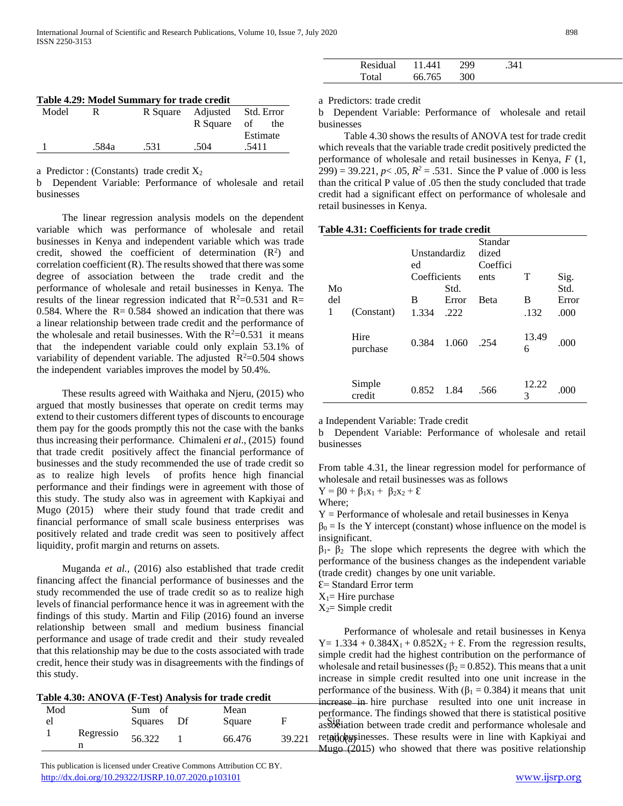|  |  |  |  | Table 4.29: Model Summary for trade credit |
|--|--|--|--|--------------------------------------------|
|--|--|--|--|--------------------------------------------|

| Model | R     |      | R Square Adjusted Std. Error |          |  |
|-------|-------|------|------------------------------|----------|--|
|       |       |      | R Square of                  | the      |  |
|       |       |      |                              | Estimate |  |
|       | .584a | .531 | .504                         | .5411    |  |

a Predictor : (Constants) trade credit  $X_2$ 

b Dependent Variable: Performance of wholesale and retail businesses

 The linear regression analysis models on the dependent variable which was performance of wholesale and retail businesses in Kenya and independent variable which was trade credit, showed the coefficient of determination  $(R^2)$  and correlation coefficient (R). The results showed that there was some degree of association between the trade credit and the performance of wholesale and retail businesses in Kenya. The results of the linear regression indicated that  $R^2=0.531$  and  $R=$ 0.584. Where the  $R = 0.584$  showed an indication that there was a linear relationship between trade credit and the performance of the wholesale and retail businesses. With the  $R^2=0.531$  it means that the independent variable could only explain 53.1% of variability of dependent variable. The adjusted  $R^2=0.504$  shows the independent variables improves the model by 50.4%.

 These results agreed with Waithaka and Njeru, (2015) who argued that mostly businesses that operate on credit terms may extend to their customers different types of discounts to encourage them pay for the goods promptly this not the case with the banks thus increasing their performance. Chimaleni *et al*., (2015) found that trade credit positively affect the financial performance of businesses and the study recommended the use of trade credit so as to realize high levels of profits hence high financial performance and their findings were in agreement with those of this study. The study also was in agreement with Kapkiyai and Mugo (2015) where their study found that trade credit and financial performance of small scale business enterprises was positively related and trade credit was seen to positively affect liquidity, profit margin and returns on assets.

 Muganda *et al.,* (2016) also established that trade credit financing affect the financial performance of businesses and the study recommended the use of trade credit so as to realize high levels of financial performance hence it was in agreement with the findings of this study. Martin and Filip (2016) found an inverse relationship between small and medium business financial performance and usage of trade credit and their study revealed that this relationship may be due to the costs associated with trade credit, hence their study was in disagreements with the findings of this study.

| Table 4.30: ANOVA (F-Test) Analysis for trade credit |                |                      |  |                |        |  |
|------------------------------------------------------|----------------|----------------------|--|----------------|--------|--|
| Mod<br>el                                            |                | Sum of<br>Squares Df |  | Mean<br>Square | F      |  |
|                                                      | Regressio<br>n | 56.322               |  | 66.476         | 39.221 |  |

 This publication is licensed under Creative Commons Attribution CC BY. <http://dx.doi.org/10.29322/IJSRP.10.07.2020.p103101> [www.ijsrp.org](http://ijsrp.org/)

| Residual | <i>AA</i> 1 | ١QQ | 341 |  |
|----------|-------------|-----|-----|--|
| Fotal    | 66 765      | 300 |     |  |

a Predictors: trade credit

b Dependent Variable: Performance of wholesale and retail businesses

 Table 4.30 shows the results of ANOVA test for trade credit which reveals that the variable trade credit positively predicted the performance of wholesale and retail businesses in Kenya, *F* (1,  $299$ ) = 39.221,  $p < .05$ ,  $R^2 = .531$ . Since the P value of .000 is less than the critical P value of .05 then the study concluded that trade credit had a significant effect on performance of wholesale and retail businesses in Kenya.

| Table 4.31: Coefficients for trade credit |  |
|-------------------------------------------|--|
|-------------------------------------------|--|

| Mo       |                  | Unstandardiz<br>ed<br>Coefficients<br>Std. |               | Standar<br>dized<br>Coeffici<br>ents | Т<br>Sig.<br>Std. |              |  |
|----------|------------------|--------------------------------------------|---------------|--------------------------------------|-------------------|--------------|--|
| del<br>1 | (Constant)       | В                                          | Error<br>.222 | <b>B</b> eta                         | B<br>.132         | Error        |  |
|          | Hire<br>purchase | 1.334<br>0.384                             | 1.060         | .254                                 | 13.49<br>6        | .000<br>.000 |  |
|          | Simple<br>credit | 0.852                                      | 1.84          | .566                                 | 12.22<br>3        | .000         |  |

a Independent Variable: Trade credit

b Dependent Variable: Performance of wholesale and retail businesses

From table 4.31, the linear regression model for performance of wholesale and retail businesses was as follows

$$
Y=\beta 0+\beta_1x_1+\ \beta_2x_2+\epsilon
$$

Where;

 $Y =$  Performance of wholesale and retail businesses in Kenya

 $\beta_0 =$  Is the Y intercept (constant) whose influence on the model is insignificant.

 $β<sub>1</sub>$ -  $β<sub>2</sub>$  The slope which represents the degree with which the performance of the business changes as the independent variable (trade credit) changes by one unit variable.

Ɛ= Standard Error term

 $X_1$ = Hire purchase

 $X_2$ = Simple credit

Square F association between trade credit and performance wholesale and 56.322 1 66.476 39.221 retail objects are results were in line with Kapkiyai and Performance of wholesale and retail businesses in Kenya Y =  $1.334 + 0.384X_1 + 0.852X_2 + \epsilon$ . From the regression results, simple credit had the highest contribution on the performance of wholesale and retail businesses ( $\beta_2 = 0.852$ ). This means that a unit increase in simple credit resulted into one unit increase in the performance of the business. With  $(\beta_1 = 0.384)$  it means that unit increase in hire purchase resulted into one unit increase in performance. The findings showed that there is statistical positive **Mugo**  $(2015)$  who showed that there was positive relationship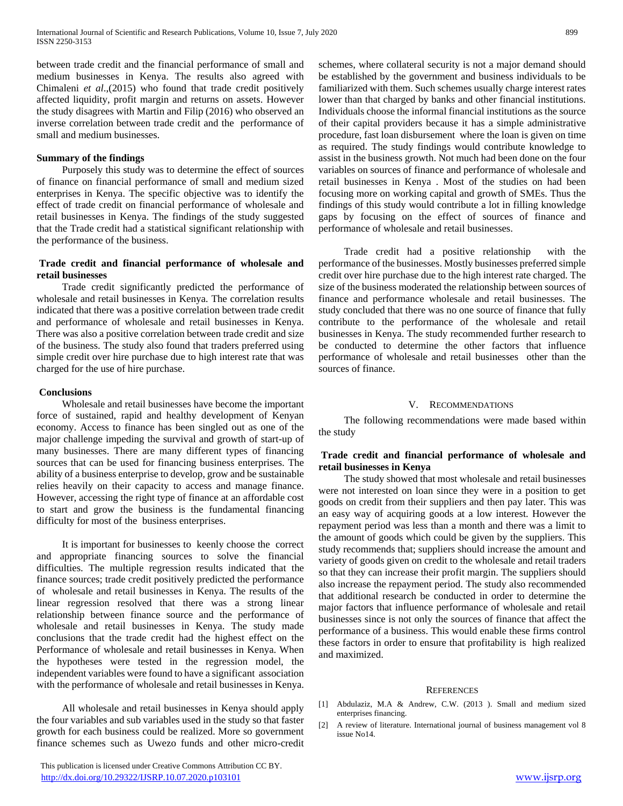between trade credit and the financial performance of small and medium businesses in Kenya. The results also agreed with Chimaleni *et al*.,(2015) who found that trade credit positively affected liquidity, profit margin and returns on assets. However the study disagrees with Martin and Filip (2016) who observed an inverse correlation between trade credit and the performance of small and medium businesses.

#### **Summary of the findings**

 Purposely this study was to determine the effect of sources of finance on financial performance of small and medium sized enterprises in Kenya. The specific objective was to identify the effect of trade credit on financial performance of wholesale and retail businesses in Kenya. The findings of the study suggested that the Trade credit had a statistical significant relationship with the performance of the business.

## **Trade credit and financial performance of wholesale and retail businesses**

 Trade credit significantly predicted the performance of wholesale and retail businesses in Kenya. The correlation results indicated that there was a positive correlation between trade credit and performance of wholesale and retail businesses in Kenya. There was also a positive correlation between trade credit and size of the business. The study also found that traders preferred using simple credit over hire purchase due to high interest rate that was charged for the use of hire purchase.

#### **Conclusions**

 Wholesale and retail businesses have become the important force of sustained, rapid and healthy development of Kenyan economy. Access to finance has been singled out as one of the major challenge impeding the survival and growth of start-up of many businesses. There are many different types of financing sources that can be used for financing business enterprises. The ability of a business enterprise to develop, grow and be sustainable relies heavily on their capacity to access and manage finance. However, accessing the right type of finance at an affordable cost to start and grow the business is the fundamental financing difficulty for most of the business enterprises.

 It is important for businesses to keenly choose the correct and appropriate financing sources to solve the financial difficulties. The multiple regression results indicated that the finance sources; trade credit positively predicted the performance of wholesale and retail businesses in Kenya. The results of the linear regression resolved that there was a strong linear relationship between finance source and the performance of wholesale and retail businesses in Kenya. The study made conclusions that the trade credit had the highest effect on the Performance of wholesale and retail businesses in Kenya. When the hypotheses were tested in the regression model, the independent variables were found to have a significant association with the performance of wholesale and retail businesses in Kenya.

 All wholesale and retail businesses in Kenya should apply the four variables and sub variables used in the study so that faster growth for each business could be realized. More so government finance schemes such as Uwezo funds and other micro-credit

 This publication is licensed under Creative Commons Attribution CC BY. <http://dx.doi.org/10.29322/IJSRP.10.07.2020.p103101> [www.ijsrp.org](http://ijsrp.org/)

schemes, where collateral security is not a major demand should be established by the government and business individuals to be familiarized with them. Such schemes usually charge interest rates lower than that charged by banks and other financial institutions. Individuals choose the informal financial institutions as the source of their capital providers because it has a simple administrative procedure, fast loan disbursement where the loan is given on time as required. The study findings would contribute knowledge to assist in the business growth. Not much had been done on the four variables on sources of finance and performance of wholesale and retail businesses in Kenya . Most of the studies on had been focusing more on working capital and growth of SMEs. Thus the findings of this study would contribute a lot in filling knowledge gaps by focusing on the effect of sources of finance and performance of wholesale and retail businesses.

 Trade credit had a positive relationship with the performance of the businesses. Mostly businesses preferred simple credit over hire purchase due to the high interest rate charged. The size of the business moderated the relationship between sources of finance and performance wholesale and retail businesses. The study concluded that there was no one source of finance that fully contribute to the performance of the wholesale and retail businesses in Kenya. The study recommended further research to be conducted to determine the other factors that influence performance of wholesale and retail businesses other than the sources of finance.

#### V. RECOMMENDATIONS

 The following recommendations were made based within the study

# **Trade credit and financial performance of wholesale and retail businesses in Kenya**

 The study showed that most wholesale and retail businesses were not interested on loan since they were in a position to get goods on credit from their suppliers and then pay later. This was an easy way of acquiring goods at a low interest. However the repayment period was less than a month and there was a limit to the amount of goods which could be given by the suppliers. This study recommends that; suppliers should increase the amount and variety of goods given on credit to the wholesale and retail traders so that they can increase their profit margin. The suppliers should also increase the repayment period. The study also recommended that additional research be conducted in order to determine the major factors that influence performance of wholesale and retail businesses since is not only the sources of finance that affect the performance of a business. This would enable these firms control these factors in order to ensure that profitability is high realized and maximized.

#### **REFERENCES**

- [1] Abdulaziz, M.A & Andrew, C.W. (2013 ). Small and medium sized enterprises financing.
- [2] A review of literature. International journal of business management vol 8 issue No14.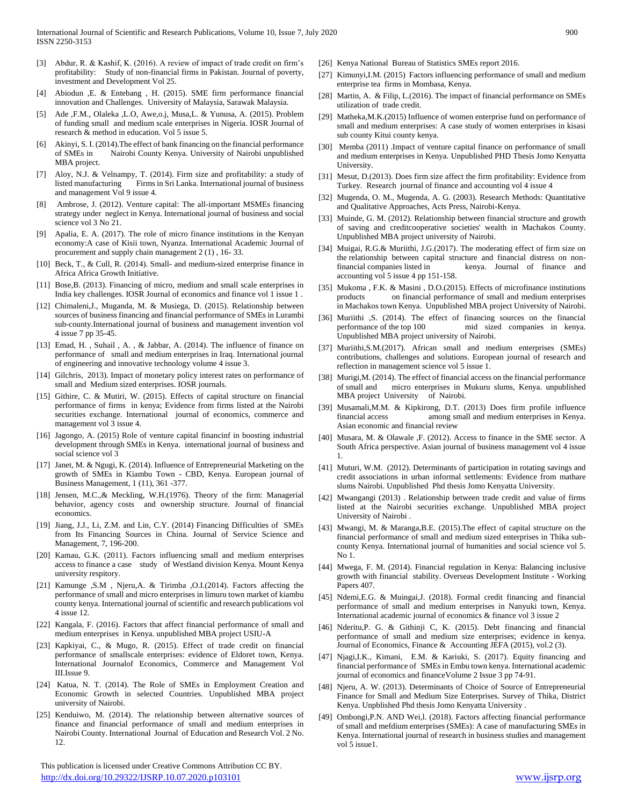- [3] Abdur, R. & Kashif, K. (2016). A review of impact of trade credit on firm's profitability: Study of non-financial firms in Pakistan. Journal of poverty, investment and Development Vol 25.
- Abiodun ,E. & Entebang , H. (2015). SME firm performance financial innovation and Challenges. University of Malaysia, Sarawak Malaysia.
- [5] Ade ,F.M., Olaleka ,L.O, Awe,o.j, Musa,L. & Yunusa, A. (2015). Problem of funding small and medium scale enterprises in Nigeria. IOSR Journal of research & method in education. Vol 5 issue 5.
- [6] Akinyi, S. I. (2014).The effect of bank financing on the financial performance of SMEs in Nairobi County Kenya. University of Nairobi unpublished MBA project.
- [7] Aloy, N.J. & Velnampy, T. (2014). Firm size and profitability: a study of listed manufacturing Firms in Sri Lanka. International journal of business and management Vol 9 issue 4.
- [8] Ambrose, J. (2012). Venture capital: The all-important MSMEs financing strategy under neglect in Kenya. International journal of business and social science vol 3 No 21.
- [9] Apalia, E. A. (2017). The role of micro finance institutions in the Kenyan economy:A case of Kisii town, Nyanza. International Academic Journal of procurement and supply chain management 2 (1) , 16- 33.
- [10] Beck, T., & Cull, R. (2014). Small- and medium-sized enterprise finance in Africa Africa Growth Initiative.
- [11] Bose, B. (2013). Financing of micro, medium and small scale enterprises in India key challenges. IOSR Journal of economics and finance vol 1 issue 1 .
- [12] Chimaleni,J., Muganda, M. & Musiega, D. (2015). Relationship between sources of business financing and financial performance of SMEs in Lurambi sub-county.International journal of business and management invention vol 4 issue 7 pp 35-45.
- [13] Emad, H., Suhail, A., & Jabbar, A. (2014). The influence of finance on performance of small and medium enterprises in Iraq. International journal of engineering and innovative technology volume 4 issue 3.
- [14] Gilchris, 2013). Impact of monetary policy interest rates on performance of small and Medium sized enterprises. IOSR journals.
- [15] Githire, C. & Mutiri, W. (2015). Effects of capital structure on financial performance of firms in kenya; Evidence from firms listed at the Nairobi securities exchange. International journal of economics, commerce and management vol 3 issue 4.
- [16] Jagongo, A. (2015) Role of venture capital financinf in boosting industrial development through SMEs in Kenya. international journal of business and social science vol 3
- [17] Janet, M. & Ngugi, K. (2014). Influence of Entrepreneurial Marketing on the growth of SMEs in Kiambu Town - CBD, Kenya. European journal of Business Management, 1 (11), 361 -377.
- [18] Jensen, M.C., & Meckling, W.H.(1976). Theory of the firm: Managerial behavior, agency costs and ownership structure. Journal of financial economics.
- [19] Jiang, J.J., Li, Z.M. and Lin, C.Y. (2014) Financing Difficulties of SMEs from Its Financing Sources in China. Journal of Service Science and Management, 7, 196-200.
- [20] Kamau, G.K. (2011). Factors influencing small and medium enterprises access to finance a case study of Westland division Kenya. Mount Kenya university respitory.
- [21] Kamunge ,S.M , Njeru,A. & Tirimba ,O.I.(2014). Factors affecting the performance of small and micro enterprises in limuru town market of kiambu county kenya. International journal of scientific and research publications vol 4 issue 12.
- [22] Kangala, F. (2016). Factors that affect financial performance of small and medium enterprises in Kenya. unpublished MBA project USIU-A
- [23] Kapkiyai, C., & Mugo, R. (2015). Effect of trade credit on financial performance of smallscale enterprises: evidence of Eldoret town, Kenya. International Journalof Economics, Commerce and Management Vol III.Issue 9.
- [24] Katua, N. T. (2014). The Role of SMEs in Employment Creation and Economic Growth in selected Countries. Unpublished MBA project university of Nairobi.
- [25] Kenduiwo, M. (2014). The relationship between alternative sources of finance and financial performance of small and medium enterprises in Nairobi County. International Journal of Education and Research Vol. 2 No. 12.

 This publication is licensed under Creative Commons Attribution CC BY. <http://dx.doi.org/10.29322/IJSRP.10.07.2020.p103101> [www.ijsrp.org](http://ijsrp.org/)

- [26] Kenya National Bureau of Statistics SMEs report 2016.
- [27] Kimunyi,I.M. (2015) Factors influencing performance of small and medium enterprise tea firms in Mombasa, Kenya.
- [28] Martin, A. & Filip, L.(2016). The impact of financial performance on SMEs utilization of trade credit.
- [29] Matheka, M.K.(2015) Influence of women enterprise fund on performance of small and medium enterprises: A case study of women enterprises in kisasi sub county Kitui county kenya.
- [30] Memba (2011) .Impact of venture capital finance on performance of small and medium enterprises in Kenya. Unpublished PHD Thesis Jomo Kenyatta **University**
- [31] Mesut, D.(2013). Does firm size affect the firm profitability: Evidence from Turkey. Research journal of finance and accounting vol 4 issue 4
- [32] Mugenda, O. M., Mugenda, A. G. (2003). Research Methods: Quantitative and Qualitative Approaches, Acts Press, Nairobi-Kenya.
- [33] Muinde, G. M. (2012). Relationship between financial structure and growth of saving and creditcooperative societies' wealth in Machakos County. Unpublished MBA project university of Nairobi.
- [34] Muigai, R.G.& Muriithi, J.G.(2017). The moderating effect of firm size on the relationship between capital structure and financial distress on nonfinancial companies listed in kenya. Journal of finance and accounting vol 5 issue 4 pp 151-158.
- [35] Mukoma , F.K. & Masini , D.O.(2015). Effects of microfinance institutions on financial performance of small and medium enterprises in Machakos town Kenya. Unpublished MBA project University of Nairobi.
- [36] Muriithi ,S. (2014). The effect of financing sources on the financial performance of the top 100 mid sized companies in kenya. Unpublished MBA project university of Nairobi.
- [37] Muriithi, S.M. (2017). African small and medium enterprises (SMEs) contributions, challenges and solutions. European journal of research and reflection in management science vol 5 issue 1.
- [38] Murigi, M. (2014). The effect of financial access on the financial performance of small and micro enterprises in Mukuru slums, Kenya. unpublished MBA project University of Nairobi.
- [39] Musamali,M.M. & Kipkirong, D.T. (2013) Does firm profile influence financial access among small and medium enterprises in Kenya. Asian economic and financial review
- [40] Musara, M. & Olawale ,F. (2012). Access to finance in the SME sector. A South Africa perspective. Asian journal of business management vol 4 issue 1.
- [41] Muturi, W.M. (2012). Determinants of participation in rotating savings and credit associations in urban informal settlements: Evidence from mathare slums Nairobi. Unpublished Phd thesis Jomo Kenyatta University.
- [42] Mwangangi (2013) . Relationship between trade credit and value of firms listed at the Nairobi securities exchange. Unpublished MBA project University of Nairobi .
- [43] Mwangi, M. & Maranga,B.E. (2015).The effect of capital structure on the financial performance of small and medium sized enterprises in Thika subcounty Kenya. International journal of humanities and social science vol 5. No 1.
- [44] Mwega, F. M. (2014). Financial regulation in Kenya: Balancing inclusive growth with financial stability. Overseas Development Institute - Working Papers 407.
- [45] Ndemi,E.G. & Muingai,J. (2018). Formal credit financing and financial performance of small and medium enterprises in Nanyuki town, Kenya. International academic journal of economics & finance vol 3 issue 2
- [46] Nderitu, P. G. & Githinji C, K. (2015). Debt financing and financial performance of small and medium size enterprises; evidence in kenya. Journal of Economics, Finance & Accounting JEFA (2015), vol.2 (3).
- [47] Njagi,I.K., Kimani, E.M. & Kariuki, S. (2017). Equity financing and financial performance of SMEs in Embu town kenya. International academic journal of economics and financeVolume 2 Issue 3 pp 74-91.
- [48] Njeru, A. W. (2013). Determinants of Choice of Source of Entrepreneurial Finance for Small and Medium Size Enterprises. Survey of Thika, District Kenya. Unpblished Phd thesis Jomo Kenyatta University .
- [49] Ombongi,P.N. AND Wei,l. (2018). Factors affecting financial performance of small and mefdium enterprises (SMEs): A case of manufacturing SMEs in Kenya. International journal of research in business studies and management vol 5 issue1.